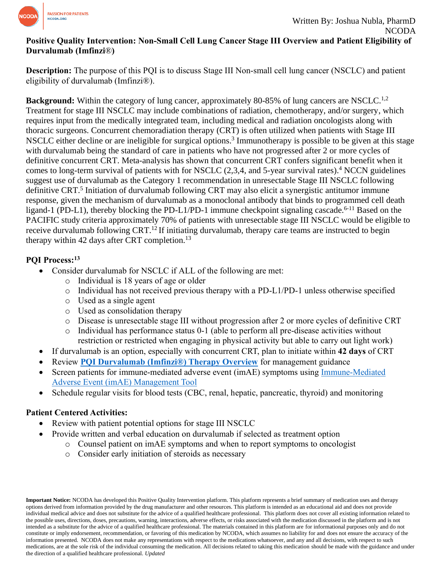

# **Positive Quality Intervention: Non-Small Cell Lung Cancer Stage III Overview and Patient Eligibility of Durvalumab (Imfinzi**®**)**

**Description:** The purpose of this PQI is to discuss Stage III Non-small cell lung cancer (NSCLC) and patient eligibility of durvalumab (Imfinzi®).

**Background:** Within the category of lung cancer, approximately 80-85% of lung cancers are NSCLC.<sup>1,2</sup> Treatment for stage III NSCLC may include combinations of radiation, chemotherapy, and/or surgery, which requires input from the medically integrated team, including medical and radiation oncologists along with thoracic surgeons. Concurrent chemoradiation therapy (CRT) is often utilized when patients with Stage III NSCLC either decline or are ineligible for surgical options.<sup>3</sup> Immunotherapy is possible to be given at this stage with durvalumab being the standard of care in patients who have not progressed after 2 or more cycles of definitive concurrent CRT. Meta-analysis has shown that concurrent CRT confers significant benefit when it comes to long-term survival of patients with for NSCLC (2,3,4, and 5-year survival rates).<sup>4</sup> NCCN guidelines suggest use of durvalumab as the Category 1 recommendation in unresectable Stage III NSCLC following definitive CRT.<sup>5</sup> Initiation of durvalumab following CRT may also elicit a synergistic antitumor immune response, given the mechanism of durvalumab as a monoclonal antibody that binds to programmed cell death ligand-1 (PD-L1), thereby blocking the PD-L1/PD-1 immune checkpoint signaling cascade.<sup>6-11</sup> Based on the PACIFIC study criteria approximately 70% of patients with unresectable stage III NSCLC would be eligible to receive durvalumab following CRT.<sup>12</sup> If initiating durvalumab, therapy care teams are instructed to begin therapy within 42 days after CRT completion.<sup>13</sup>

# **PQI Process:<sup>13</sup>**

- Consider durvalumab for NSCLC if ALL of the following are met:
	- o Individual is 18 years of age or older
	- o Individual has not received previous therapy with a PD-L1/PD-1 unless otherwise specified
	- o Used as a single agent
	- o Used as consolidation therapy
	- o Disease is unresectable stage III without progression after 2 or more cycles of definitive CRT
	- $\circ$  Individual has performance status 0-1 (able to perform all pre-disease activities without restriction or restricted when engaging in physical activity but able to carry out light work)
- If durvalumab is an option, especially with concurrent CRT, plan to initiate within **42 days** of CRT
- Review **[PQI Durvalumab \(Imfinzi®\) Therapy Overview](https://www.ncoda.org/wp-content/uploads/pqis/Durvalumab-Imfinzi-Therapy-Overview_PQI_NCODA-1.pdf)** for management guidance
- Screen patients for immune-mediated adverse event (imAE) symptoms using [Immune-Mediated](https://www.ncoda.org/toolkit/imae/)  [Adverse Event \(imAE\) Management Tool](https://www.ncoda.org/toolkit/imae/)
- Schedule regular visits for blood tests (CBC, renal, hepatic, pancreatic, thyroid) and monitoring

# **Patient Centered Activities:**

- Review with patient potential options for stage III NSCLC
- Provide written and verbal education on durvalumab if selected as treatment option
	- o Counsel patient on imAE symptoms and when to report symptoms to oncologist
	- o Consider early initiation of steroids as necessary

**Important Notice:** NCODA has developed this Positive Quality Intervention platform. This platform represents a brief summary of medication uses and therapy options derived from information provided by the drug manufacturer and other resources. This platform is intended as an educational aid and does not provide individual medical advice and does not substitute for the advice of a qualified healthcare professional. This platform does not cover all existing information related to the possible uses, directions, doses, precautions, warning, interactions, adverse effects, or risks associated with the medication discussed in the platform and is not intended as a substitute for the advice of a qualified healthcare professional. The materials contained in this platform are for informational purposes only and do not constitute or imply endorsement, recommendation, or favoring of this medication by NCODA, which assumes no liability for and does not ensure the accuracy of the information presented. NCODA does not make any representations with respect to the medications whatsoever, and any and all decisions, with respect to such medications, are at the sole risk of the individual consuming the medication. All decisions related to taking this medication should be made with the guidance and under the direction of a qualified healthcare professional. *Updated*